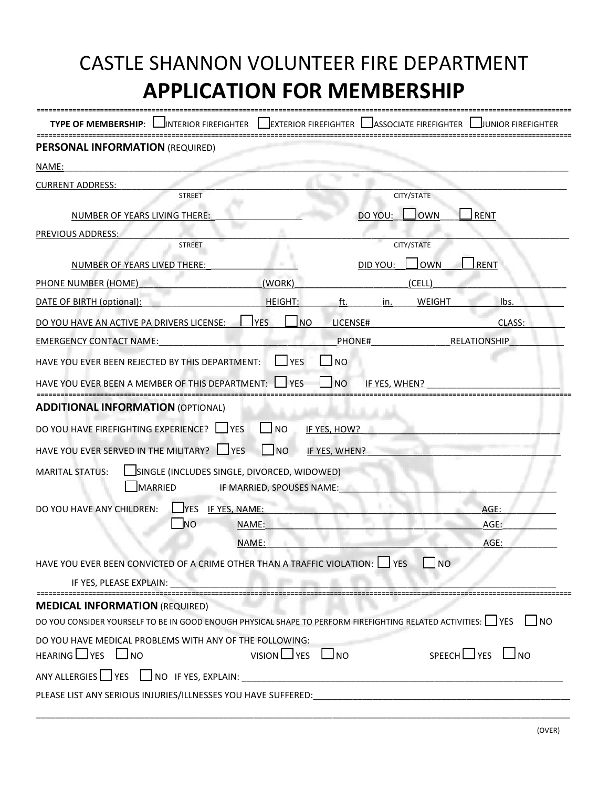| CASTLE SHANNON VOLUNTEER FIRE DEPARTMENT<br><b>APPLICATION FOR MEMBERSHIP</b>                                                                         |                              |                                         |                       |                               |
|-------------------------------------------------------------------------------------------------------------------------------------------------------|------------------------------|-----------------------------------------|-----------------------|-------------------------------|
| TYPE OF MEMBERSHIP:<br><b>I</b> INTERIOR FIREFIGHTER                                                                                                  | <b>IEXTERIOR FIREFIGHTER</b> |                                         | ASSOCIATE FIREFIGHTER | JUNIOR FIREFIGHTER            |
| <b>PERSONAL INFORMATION (REQUIRED)</b>                                                                                                                |                              |                                         |                       |                               |
| NAME:                                                                                                                                                 |                              |                                         |                       |                               |
| <b>CURRENT ADDRESS:</b>                                                                                                                               |                              |                                         |                       |                               |
| <b>STREET</b>                                                                                                                                         |                              |                                         | CITY/STATE            |                               |
| NUMBER OF YEARS LIVING THERE:                                                                                                                         |                              | DO YOU:                                 | Jown                  | <b>RENT</b>                   |
| PREVIOUS ADDRESS:<br><b>STREET</b>                                                                                                                    |                              |                                         | CITY/STATE            |                               |
|                                                                                                                                                       |                              |                                         |                       |                               |
| NUMBER OF YEARS LIVED THERE:                                                                                                                          |                              | DID YOU:                                | <b>OWN</b>            | RENT                          |
| PHONE NUMBER (HOME)                                                                                                                                   | (WORK)                       |                                         | (CELL)                |                               |
| DATE OF BIRTH (optional):                                                                                                                             | <b>HEIGHT:</b>               | ft.<br>in.                              | <b>WEIGHT</b>         | lbs.                          |
| DO YOU HAVE AN ACTIVE PA DRIVERS LICENSE:                                                                                                             | <b>YES</b><br>N <sub>O</sub> | LICENSE#                                |                       | CLASS:                        |
| <b>EMERGENCY CONTACT NAME:</b>                                                                                                                        |                              | PHONE#                                  |                       | <b>RELATIONSHIP</b>           |
| HAVE YOU EVER BEEN REJECTED BY THIS DEPARTMENT:<br>HAVE YOU EVER BEEN A MEMBER OF THIS DEPARTMENT:                                                    | YES<br><b>I</b> YFS          | N <sub>O</sub><br>I NO<br>IF YES. WHEN? |                       |                               |
| <b>ADDITIONAL INFORMATION (OPTIONAL)</b>                                                                                                              |                              |                                         |                       |                               |
| DO YOU HAVE FIREFIGHTING EXPERIENCE?<br><b>I</b> IYES                                                                                                 | $\sqcup$ NO                  | IF YES, HOW?                            |                       |                               |
| HAVE YOU EVER SERVED IN THE MILITARY?<br>$\Box$ YES                                                                                                   | $\Box$ NO                    | IF YES, WHEN?                           |                       |                               |
| SINGLE (INCLUDES SINGLE, DIVORCED, WIDOWED)<br><b>MARITAL STATUS:</b><br>MARRIED                                                                      | IF MARRIED, SPOUSES NAME:    |                                         |                       |                               |
| YES IF YES, NAME:<br>DO YOU HAVE ANY CHILDREN:                                                                                                        |                              |                                         |                       | AGE:                          |
| _NO                                                                                                                                                   | NAME:                        |                                         |                       | AGE:                          |
|                                                                                                                                                       | NAME:                        |                                         |                       | AGE:                          |
| HAVE YOU EVER BEEN CONVICTED OF A CRIME OTHER THAN A TRAFFIC VIOLATION: U YES                                                                         |                              |                                         | $\Box$ NO             |                               |
| IF YES, PLEASE EXPLAIN:                                                                                                                               |                              |                                         |                       |                               |
| <b>MEDICAL INFORMATION (REQUIRED)</b><br>DO YOU CONSIDER YOURSELF TO BE IN GOOD ENOUGH PHYSICAL SHAPE TO PERFORM FIREFIGHTING RELATED ACTIVITIES: VES |                              |                                         |                       |                               |
| DO YOU HAVE MEDICAL PROBLEMS WITH ANY OF THE FOLLOWING:<br>HEARING I YES I NO                                                                         | $VISION \cup Yes \cup No$    |                                         |                       | $SPEECH$ $\Box$ YES $\Box$ NO |
|                                                                                                                                                       |                              |                                         |                       |                               |
| PLEASE LIST ANY SERIOUS INJURIES/ILLNESSES YOU HAVE SUFFERED:                                                                                         |                              |                                         |                       |                               |
|                                                                                                                                                       |                              |                                         |                       |                               |